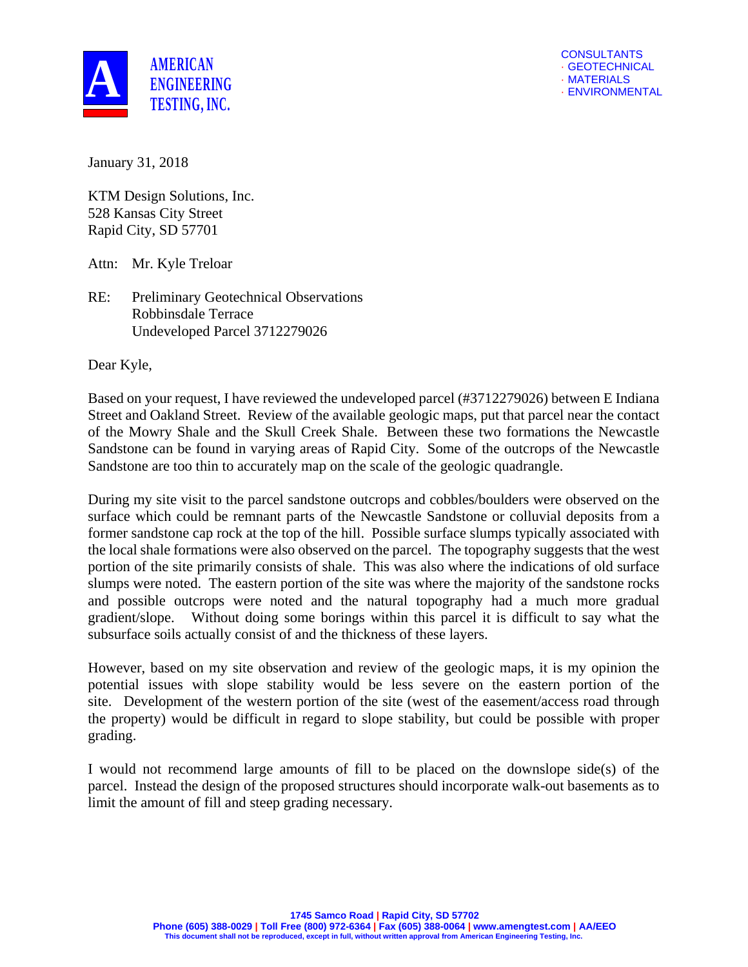

January 31, 2018

KTM Design Solutions, Inc. 528 Kansas City Street Rapid City, SD 57701

Attn: Mr. Kyle Treloar

RE: Preliminary Geotechnical Observations Robbinsdale Terrace Undeveloped Parcel 3712279026

Dear Kyle,

Based on your request, I have reviewed the undeveloped parcel (#3712279026) between E Indiana Street and Oakland Street. Review of the available geologic maps, put that parcel near the contact of the Mowry Shale and the Skull Creek Shale. Between these two formations the Newcastle Sandstone can be found in varying areas of Rapid City. Some of the outcrops of the Newcastle Sandstone are too thin to accurately map on the scale of the geologic quadrangle.

During my site visit to the parcel sandstone outcrops and cobbles/boulders were observed on the surface which could be remnant parts of the Newcastle Sandstone or colluvial deposits from a former sandstone cap rock at the top of the hill. Possible surface slumps typically associated with the local shale formations were also observed on the parcel. The topography suggests that the west portion of the site primarily consists of shale. This was also where the indications of old surface slumps were noted. The eastern portion of the site was where the majority of the sandstone rocks and possible outcrops were noted and the natural topography had a much more gradual gradient/slope. Without doing some borings within this parcel it is difficult to say what the subsurface soils actually consist of and the thickness of these layers.

However, based on my site observation and review of the geologic maps, it is my opinion the potential issues with slope stability would be less severe on the eastern portion of the site. Development of the western portion of the site (west of the easement/access road through the property) would be difficult in regard to slope stability, but could be possible with proper grading.

I would not recommend large amounts of fill to be placed on the downslope side(s) of the parcel. Instead the design of the proposed structures should incorporate walk-out basements as to limit the amount of fill and steep grading necessary.